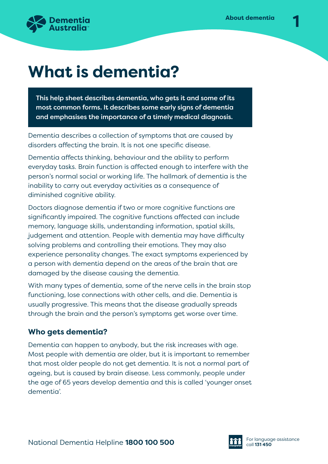

# **What is dementia?**

This help sheet describes dementia, who gets it and some of its most common forms. It describes some early signs of dementia and emphasises the importance of a timely medical diagnosis.

Dementia describes a collection of symptoms that are caused by disorders affecting the brain. It is not one specific disease.

Dementia affects thinking, behaviour and the ability to perform everyday tasks. Brain function is affected enough to interfere with the person's normal social or working life. The hallmark of dementia is the inability to carry out everyday activities as a consequence of diminished cognitive ability.

Doctors diagnose dementia if two or more cognitive functions are significantly impaired. The cognitive functions affected can include memory, language skills, understanding information, spatial skills, judgement and attention. People with dementia may have difficulty solving problems and controlling their emotions. They may also experience personality changes. The exact symptoms experienced by a person with dementia depend on the areas of the brain that are damaged by the disease causing the dementia.

With many types of dementia, some of the nerve cells in the brain stop functioning, lose connections with other cells, and die. Dementia is usually progressive. This means that the disease gradually spreads through the brain and the person's symptoms get worse over time.

#### **Who gets dementia?**

Dementia can happen to anybody, but the risk increases with age. Most people with dementia are older, but it is important to remember that most older people do not get dementia. It is not a normal part of ageing, but is caused by brain disease. Less commonly, people under the age of 65 years develop dementia and this is called 'younger onset dementia'.

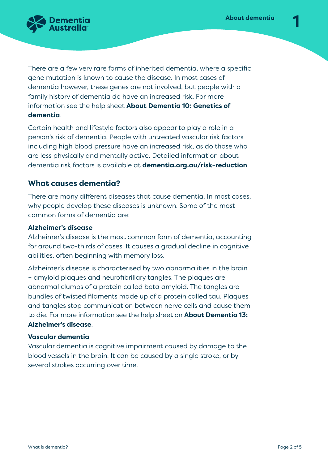

There are a few very rare forms of inherited dementia, where a specific gene mutation is known to cause the disease. In most cases of dementia however, these genes are not involved, but people with a family history of dementia do have an increased risk. For more information see the help sheet **About Dementia 10: Genetics of dementia**.

Certain health and lifestyle factors also appear to play a role in a person's risk of dementia. People with untreated vascular risk factors including high blood pressure have an increased risk, as do those who are less physically and mentally active. Detailed information about dementia risk factors is available at **[dementia.org.au/risk-reduction](http://www.dementia.org.au/risk-reduction)**.

#### **What causes dementia?**

There are many different diseases that cause dementia. In most cases, why people develop these diseases is unknown. Some of the most common forms of dementia are:

#### **Alzheimer's disease**

Alzheimer's disease is the most common form of dementia, accounting for around two-thirds of cases. It causes a gradual decline in cognitive abilities, often beginning with memory loss.

Alzheimer's disease is characterised by two abnormalities in the brain – amyloid plaques and neurofibrillary tangles. The plaques are abnormal clumps of a protein called beta amyloid. The tangles are bundles of twisted filaments made up of a protein called tau. Plaques and tangles stop communication between nerve cells and cause them to die. For more information see the help sheet on **About Dementia 13: Alzheimer's disease**.

#### **Vascular dementia**

Vascular dementia is cognitive impairment caused by damage to the blood vessels in the brain. It can be caused by a single stroke, or by several strokes occurring over time.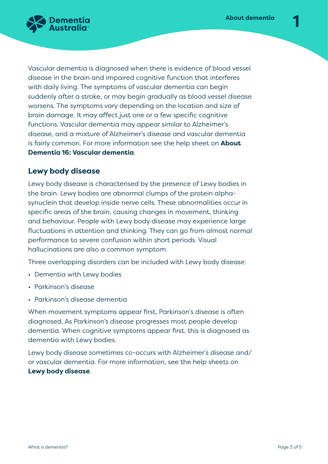

Vascular dementia is diagnosed when there is evidence of blood vessel disease in the brain and impaired cognitive function that interferes with daily living. The symptoms of vascular dementia can begin suddenly after a stroke, or may begin gradually as blood vessel disease worsens. The symptoms vary depending on the location and size of brain damage. It may affect just one or a few specific cognitive functions. Vascular dementia may appear similar to Alzheimer's disease, and a mixture of Alzheimer's disease and vascular dementia is fairly common. For more information see the help sheet on **About Dementia 16: Vascular dementia**.

# **Lewy body disease**

Lewy body disease is characterised by the presence of Lewy bodies in the brain. Lewy bodies are abnormal clumps of the protein alphasynuclein that develop inside nerve cells. These abnormalities occur in specific areas of the brain, causing changes in movement, thinking and behaviour. People with Lewy body disease may experience large fluctuations in attention and thinking. They can go from almost normal performance to severe confusion within short periods. Visual hallucinations are also a common symptom.

Three overlapping disorders can be included with Lewy body disease:

- Dementia with Lewy bodies
- Parkinson's disease
- Parkinson's disease dementia

When movement symptoms appear first, Parkinson's disease is often diagnosed. As Parkinson's disease progresses most people develop dementia. When cognitive symptoms appear first, this is diagnosed as dementia with Lewy bodies.

Lewy body disease sometimes co-occurs with Alzheimer's disease and/ or vascular dementia. For more information, see the help sheets on **Lewy body disease**.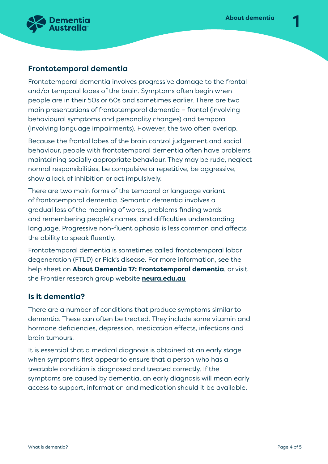

# **Frontotemporal dementia**

Frontotemporal dementia involves progressive damage to the frontal and/or temporal lobes of the brain. Symptoms often begin when people are in their 50s or 60s and sometimes earlier. There are two main presentations of frontotemporal dementia – frontal (involving behavioural symptoms and personality changes) and temporal (involving language impairments). However, the two often overlap.

Because the frontal lobes of the brain control judgement and social behaviour, people with frontotemporal dementia often have problems maintaining socially appropriate behaviour. They may be rude, neglect normal responsibilities, be compulsive or repetitive, be aggressive, show a lack of inhibition or act impulsively.

There are two main forms of the temporal or language variant of frontotemporal dementia. Semantic dementia involves a gradual loss of the meaning of words, problems finding words and remembering people's names, and difficulties understanding language. Progressive non-fluent aphasia is less common and affects the ability to speak fluently.

Frontotemporal dementia is sometimes called frontotemporal lobar degeneration (FTLD) or Pick's disease. For more information, see the help sheet on **About Dementia 17: Frontotemporal dementia**, or visit the Frontier research group website **[neura.edu.au](http://www.neura.edu.au)**

#### **Is it dementia?**

There are a number of conditions that produce symptoms similar to dementia. These can often be treated. They include some vitamin and hormone deficiencies, depression, medication effects, infections and brain tumours.

It is essential that a medical diagnosis is obtained at an early stage when symptoms first appear to ensure that a person who has a treatable condition is diagnosed and treated correctly. If the symptoms are caused by dementia, an early diagnosis will mean early access to support, information and medication should it be available.